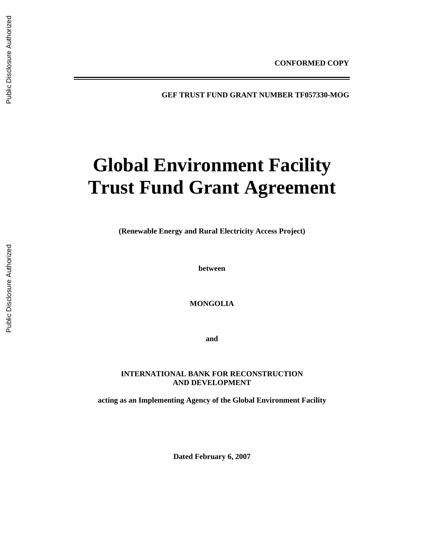**GEF TRUST FUND GRANT NUMBER TF057330-MOG** 

# **Global Environment Facility Trust Fund Grant Agreement**

**(Renewable Energy and Rural Electricity Access Project)** 

**between** 

**MONGOLIA** 

**and** 

## **INTERNATIONAL BANK FOR RECONSTRUCTION AND DEVELOPMENT**

**acting as an Implementing Agency of the Global Environment Facility** 

**Dated February 6, 2007**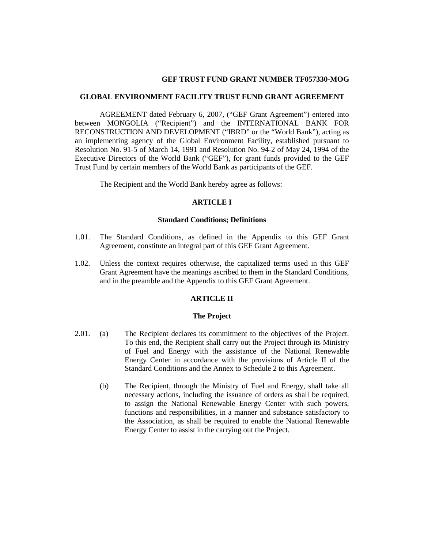## **GEF TRUST FUND GRANT NUMBER TF057330-MOG**

#### **GLOBAL ENVIRONMENT FACILITY TRUST FUND GRANT AGREEMENT**

AGREEMENT dated February 6, 2007, ("GEF Grant Agreement") entered into between MONGOLIA ("Recipient") and the INTERNATIONAL BANK FOR RECONSTRUCTION AND DEVELOPMENT ("IBRD" or the "World Bank"), acting as an implementing agency of the Global Environment Facility, established pursuant to Resolution No. 91-5 of March 14, 1991 and Resolution No. 94-2 of May 24, 1994 of the Executive Directors of the World Bank ("GEF"), for grant funds provided to the GEF Trust Fund by certain members of the World Bank as participants of the GEF.

The Recipient and the World Bank hereby agree as follows:

## **ARTICLE I**

#### **Standard Conditions; Definitions**

- 1.01. The Standard Conditions, as defined in the Appendix to this GEF Grant Agreement, constitute an integral part of this GEF Grant Agreement.
- 1.02. Unless the context requires otherwise, the capitalized terms used in this GEF Grant Agreement have the meanings ascribed to them in the Standard Conditions, and in the preamble and the Appendix to this GEF Grant Agreement.

#### **ARTICLE II**

#### **The Project**

- 2.01. (a) The Recipient declares its commitment to the objectives of the Project. To this end, the Recipient shall carry out the Project through its Ministry of Fuel and Energy with the assistance of the National Renewable Energy Center in accordance with the provisions of Article II of the Standard Conditions and the Annex to Schedule 2 to this Agreement.
	- (b) The Recipient, through the Ministry of Fuel and Energy, shall take all necessary actions, including the issuance of orders as shall be required, to assign the National Renewable Energy Center with such powers, functions and responsibilities, in a manner and substance satisfactory to the Association, as shall be required to enable the National Renewable Energy Center to assist in the carrying out the Project.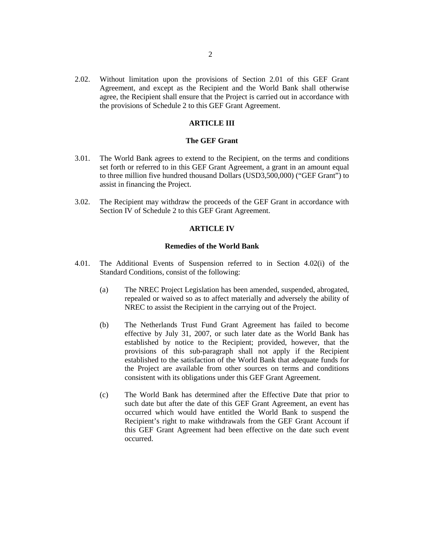2.02. Without limitation upon the provisions of Section 2.01 of this GEF Grant Agreement, and except as the Recipient and the World Bank shall otherwise agree, the Recipient shall ensure that the Project is carried out in accordance with the provisions of Schedule 2 to this GEF Grant Agreement.

## **ARTICLE III**

## **The GEF Grant**

- 3.01. The World Bank agrees to extend to the Recipient, on the terms and conditions set forth or referred to in this GEF Grant Agreement, a grant in an amount equal to three million five hundred thousand Dollars (USD3,500,000) ("GEF Grant") to assist in financing the Project.
- 3.02. The Recipient may withdraw the proceeds of the GEF Grant in accordance with Section IV of Schedule 2 to this GEF Grant Agreement.

#### **ARTICLE IV**

#### **Remedies of the World Bank**

- 4.01. The Additional Events of Suspension referred to in Section 4.02(i) of the Standard Conditions, consist of the following:
	- (a) The NREC Project Legislation has been amended, suspended, abrogated, repealed or waived so as to affect materially and adversely the ability of NREC to assist the Recipient in the carrying out of the Project.
	- (b) The Netherlands Trust Fund Grant Agreement has failed to become effective by July 31, 2007, or such later date as the World Bank has established by notice to the Recipient; provided, however, that the provisions of this sub-paragraph shall not apply if the Recipient established to the satisfaction of the World Bank that adequate funds for the Project are available from other sources on terms and conditions consistent with its obligations under this GEF Grant Agreement.
	- (c) The World Bank has determined after the Effective Date that prior to such date but after the date of this GEF Grant Agreement, an event has occurred which would have entitled the World Bank to suspend the Recipient's right to make withdrawals from the GEF Grant Account if this GEF Grant Agreement had been effective on the date such event occurred.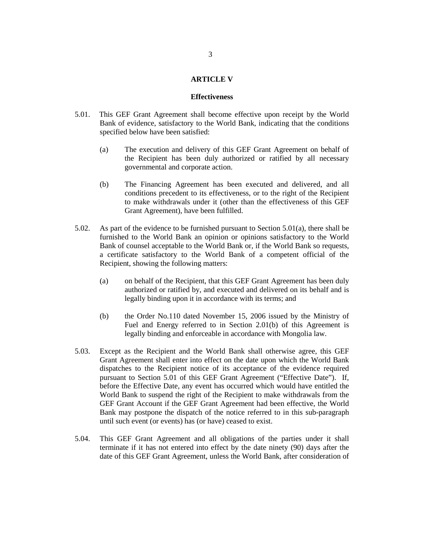## **ARTICLE V**

#### **Effectiveness**

- 5.01. This GEF Grant Agreement shall become effective upon receipt by the World Bank of evidence, satisfactory to the World Bank, indicating that the conditions specified below have been satisfied:
	- (a) The execution and delivery of this GEF Grant Agreement on behalf of the Recipient has been duly authorized or ratified by all necessary governmental and corporate action.
	- (b) The Financing Agreement has been executed and delivered, and all conditions precedent to its effectiveness, or to the right of the Recipient to make withdrawals under it (other than the effectiveness of this GEF Grant Agreement), have been fulfilled.
- 5.02. As part of the evidence to be furnished pursuant to Section 5.01(a), there shall be furnished to the World Bank an opinion or opinions satisfactory to the World Bank of counsel acceptable to the World Bank or, if the World Bank so requests, a certificate satisfactory to the World Bank of a competent official of the Recipient, showing the following matters:
	- (a) on behalf of the Recipient, that this GEF Grant Agreement has been duly authorized or ratified by, and executed and delivered on its behalf and is legally binding upon it in accordance with its terms; and
	- (b) the Order No.110 dated November 15, 2006 issued by the Ministry of Fuel and Energy referred to in Section 2.01(b) of this Agreement is legally binding and enforceable in accordance with Mongolia law.
- 5.03. Except as the Recipient and the World Bank shall otherwise agree, this GEF Grant Agreement shall enter into effect on the date upon which the World Bank dispatches to the Recipient notice of its acceptance of the evidence required pursuant to Section 5.01 of this GEF Grant Agreement ("Effective Date"). If, before the Effective Date, any event has occurred which would have entitled the World Bank to suspend the right of the Recipient to make withdrawals from the GEF Grant Account if the GEF Grant Agreement had been effective, the World Bank may postpone the dispatch of the notice referred to in this sub-paragraph until such event (or events) has (or have) ceased to exist.
- 5.04. This GEF Grant Agreement and all obligations of the parties under it shall terminate if it has not entered into effect by the date ninety (90) days after the date of this GEF Grant Agreement, unless the World Bank, after consideration of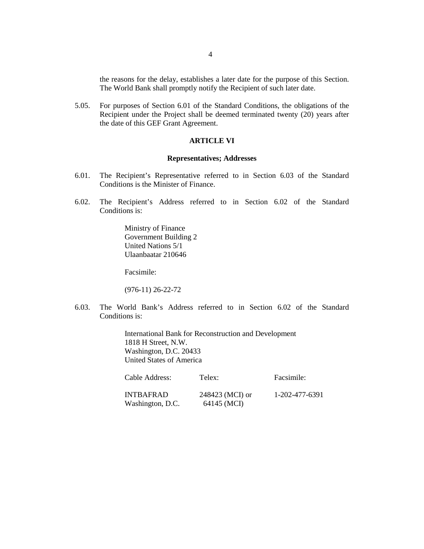the reasons for the delay, establishes a later date for the purpose of this Section. The World Bank shall promptly notify the Recipient of such later date.

5.05. For purposes of Section 6.01 of the Standard Conditions, the obligations of the Recipient under the Project shall be deemed terminated twenty (20) years after the date of this GEF Grant Agreement.

## **ARTICLE VI**

#### **Representatives; Addresses**

- 6.01. The Recipient's Representative referred to in Section 6.03 of the Standard Conditions is the Minister of Finance.
- 6.02. The Recipient's Address referred to in Section 6.02 of the Standard Conditions is:

Ministry of Finance Government Building 2 United Nations 5/1 Ulaanbaatar 210646

Facsimile:

(976-11) 26-22-72

6.03. The World Bank's Address referred to in Section 6.02 of the Standard Conditions is:

> International Bank for Reconstruction and Development 1818 H Street, N.W. Washington, D.C. 20433 United States of America

| Cable Address:                       | Telex:                         | Facsimile:     |
|--------------------------------------|--------------------------------|----------------|
| <b>INTBAFRAD</b><br>Washington, D.C. | 248423 (MCI) or<br>64145 (MCI) | 1-202-477-6391 |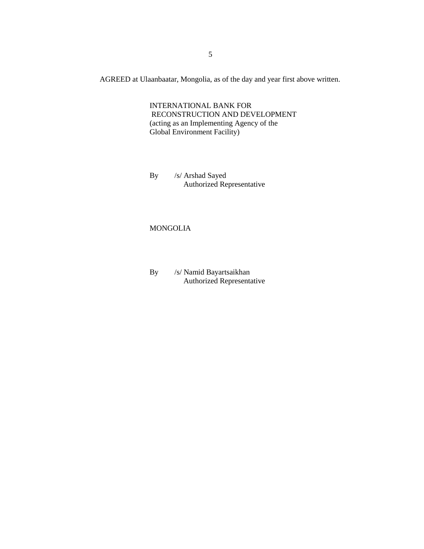AGREED at Ulaanbaatar, Mongolia, as of the day and year first above written.

INTERNATIONAL BANK FOR RECONSTRUCTION AND DEVELOPMENT (acting as an Implementing Agency of the Global Environment Facility)

By /s/ Arshad Sayed Authorized Representative

# MONGOLIA

By /s/ Namid Bayartsaikhan Authorized Representative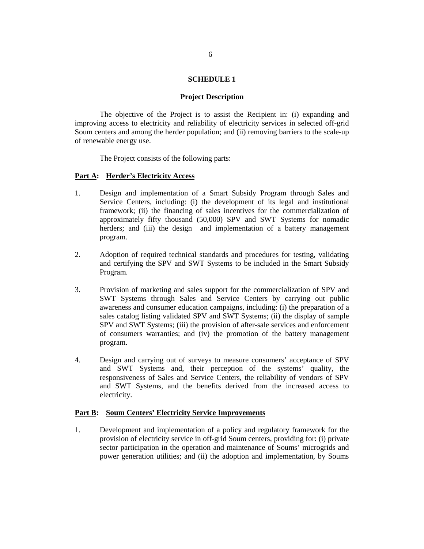#### **SCHEDULE 1**

#### **Project Description**

The objective of the Project is to assist the Recipient in: (i) expanding and improving access to electricity and reliability of electricity services in selected off-grid Soum centers and among the herder population; and (ii) removing barriers to the scale-up of renewable energy use.

The Project consists of the following parts:

#### **Part A: Herder's Electricity Access**

- 1. Design and implementation of a Smart Subsidy Program through Sales and Service Centers, including: (i) the development of its legal and institutional framework; (ii) the financing of sales incentives for the commercialization of approximately fifty thousand (50,000) SPV and SWT Systems for nomadic herders; and (iii) the design and implementation of a battery management program.
- 2. Adoption of required technical standards and procedures for testing, validating and certifying the SPV and SWT Systems to be included in the Smart Subsidy Program.
- 3. Provision of marketing and sales support for the commercialization of SPV and SWT Systems through Sales and Service Centers by carrying out public awareness and consumer education campaigns, including: (i) the preparation of a sales catalog listing validated SPV and SWT Systems; (ii) the display of sample SPV and SWT Systems; (iii) the provision of after-sale services and enforcement of consumers warranties; and (iv) the promotion of the battery management program.
- 4. Design and carrying out of surveys to measure consumers' acceptance of SPV and SWT Systems and, their perception of the systems' quality, the responsiveness of Sales and Service Centers, the reliability of vendors of SPV and SWT Systems, and the benefits derived from the increased access to electricity.

#### **Part B: Soum Centers' Electricity Service Improvements**

1. Development and implementation of a policy and regulatory framework for the provision of electricity service in off-grid Soum centers, providing for: (i) private sector participation in the operation and maintenance of Soums' microgrids and power generation utilities; and (ii) the adoption and implementation, by Soums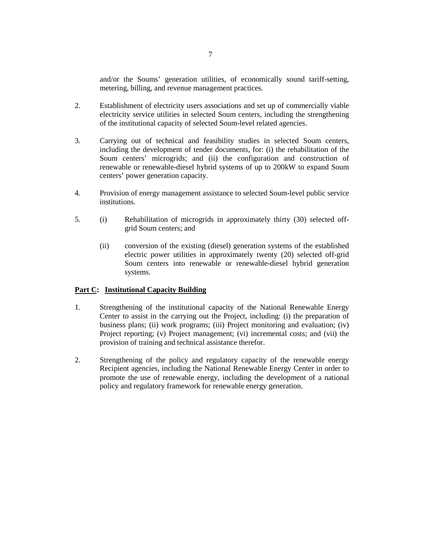and/or the Soums' generation utilities, of economically sound tariff-setting, metering, billing, and revenue management practices.

- 2. Establishment of electricity users associations and set up of commercially viable electricity service utilities in selected Soum centers, including the strengthening of the institutional capacity of selected Soum-level related agencies.
- 3. Carrying out of technical and feasibility studies in selected Soum centers, including the development of tender documents, for: (i) the rehabilitation of the Soum centers' microgrids; and (ii) the configuration and construction of renewable or renewable-diesel hybrid systems of up to 200kW to expand Soum centers' power generation capacity.
- 4. Provision of energy management assistance to selected Soum-level public service institutions.
- 5. (i) Rehabilitation of microgrids in approximately thirty (30) selected offgrid Soum centers; and
	- (ii) conversion of the existing (diesel) generation systems of the established electric power utilities in approximately twenty (20) selected off-grid Soum centers into renewable or renewable-diesel hybrid generation systems.

# **Part C: Institutional Capacity Building**

- 1. Strengthening of the institutional capacity of the National Renewable Energy Center to assist in the carrying out the Project, including: (i) the preparation of business plans; (ii) work programs; (iii) Project monitoring and evaluation; (iv) Project reporting; (v) Project management; (vi) incremental costs; and (vii) the provision of training and technical assistance therefor.
- 2. Strengthening of the policy and regulatory capacity of the renewable energy Recipient agencies, including the National Renewable Energy Center in order to promote the use of renewable energy, including the development of a national policy and regulatory framework for renewable energy generation.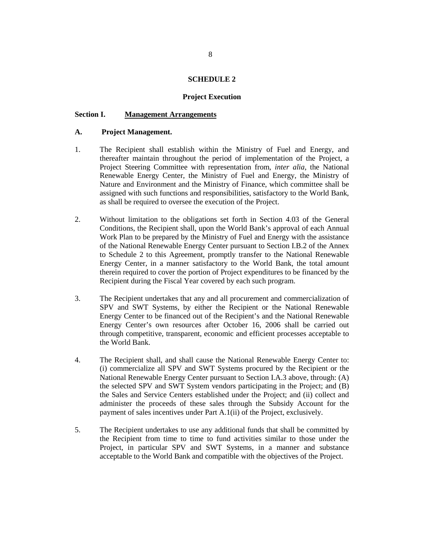#### **SCHEDULE 2**

#### **Project Execution**

## **Section I. Management Arrangements**

#### **A. Project Management.**

- 1. The Recipient shall establish within the Ministry of Fuel and Energy, and thereafter maintain throughout the period of implementation of the Project, a Project Steering Committee with representation from, *inter alia*, the National Renewable Energy Center, the Ministry of Fuel and Energy, the Ministry of Nature and Environment and the Ministry of Finance, which committee shall be assigned with such functions and responsibilities, satisfactory to the World Bank, as shall be required to oversee the execution of the Project.
- 2. Without limitation to the obligations set forth in Section 4.03 of the General Conditions, the Recipient shall, upon the World Bank's approval of each Annual Work Plan to be prepared by the Ministry of Fuel and Energy with the assistance of the National Renewable Energy Center pursuant to Section I.B.2 of the Annex to Schedule 2 to this Agreement, promptly transfer to the National Renewable Energy Center, in a manner satisfactory to the World Bank, the total amount therein required to cover the portion of Project expenditures to be financed by the Recipient during the Fiscal Year covered by each such program.
- 3. The Recipient undertakes that any and all procurement and commercialization of SPV and SWT Systems, by either the Recipient or the National Renewable Energy Center to be financed out of the Recipient's and the National Renewable Energy Center's own resources after October 16, 2006 shall be carried out through competitive, transparent, economic and efficient processes acceptable to the World Bank.
- 4. The Recipient shall, and shall cause the National Renewable Energy Center to: (i) commercialize all SPV and SWT Systems procured by the Recipient or the National Renewable Energy Center pursuant to Section I.A.3 above, through: (A) the selected SPV and SWT System vendors participating in the Project; and (B) the Sales and Service Centers established under the Project; and (ii) collect and administer the proceeds of these sales through the Subsidy Account for the payment of sales incentives under Part A.1(ii) of the Project, exclusively.
- 5. The Recipient undertakes to use any additional funds that shall be committed by the Recipient from time to time to fund activities similar to those under the Project, in particular SPV and SWT Systems, in a manner and substance acceptable to the World Bank and compatible with the objectives of the Project.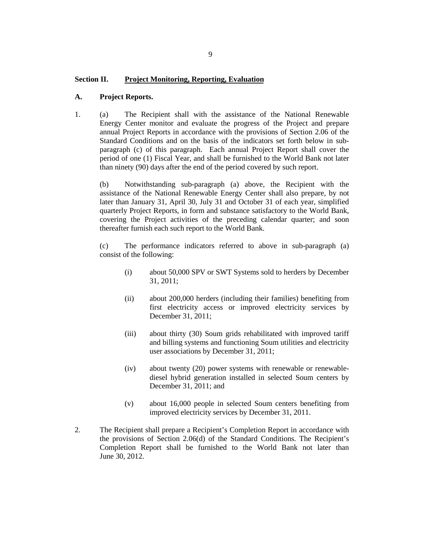## **Section II. Project Monitoring, Reporting, Evaluation**

#### **A. Project Reports.**

1. (a) The Recipient shall with the assistance of the National Renewable Energy Center monitor and evaluate the progress of the Project and prepare annual Project Reports in accordance with the provisions of Section 2.06 of the Standard Conditions and on the basis of the indicators set forth below in subparagraph (c) of this paragraph. Each annual Project Report shall cover the period of one (1) Fiscal Year, and shall be furnished to the World Bank not later than ninety (90) days after the end of the period covered by such report.

(b) Notwithstanding sub-paragraph (a) above, the Recipient with the assistance of the National Renewable Energy Center shall also prepare, by not later than January 31, April 30, July 31 and October 31 of each year, simplified quarterly Project Reports, in form and substance satisfactory to the World Bank, covering the Project activities of the preceding calendar quarter; and soon thereafter furnish each such report to the World Bank.

(c) The performance indicators referred to above in sub-paragraph (a) consist of the following:

- (i) about 50,000 SPV or SWT Systems sold to herders by December 31, 2011;
- (ii) about 200,000 herders (including their families) benefiting from first electricity access or improved electricity services by December 31, 2011;
- (iii) about thirty (30) Soum grids rehabilitated with improved tariff and billing systems and functioning Soum utilities and electricity user associations by December 31, 2011;
- (iv) about twenty (20) power systems with renewable or renewablediesel hybrid generation installed in selected Soum centers by December 31, 2011; and
- (v) about 16,000 people in selected Soum centers benefiting from improved electricity services by December 31, 2011.
- 2. The Recipient shall prepare a Recipient's Completion Report in accordance with the provisions of Section 2.06(d) of the Standard Conditions. The Recipient's Completion Report shall be furnished to the World Bank not later than June 30, 2012.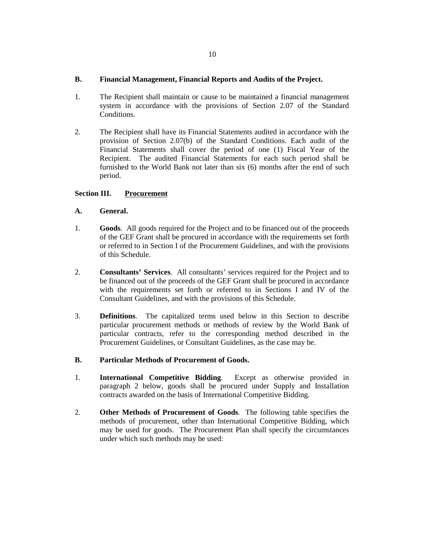# **B. Financial Management, Financial Reports and Audits of the Project.**

- 1. The Recipient shall maintain or cause to be maintained a financial management system in accordance with the provisions of Section 2.07 of the Standard Conditions.
- 2. The Recipient shall have its Financial Statements audited in accordance with the provision of Section 2.07(b) of the Standard Conditions. Each audit of the Financial Statements shall cover the period of one (1) Fiscal Year of the Recipient. The audited Financial Statements for each such period shall be furnished to the World Bank not later than six (6) months after the end of such period.

# **Section III. Procurement**

# **A. General.**

- 1. **Goods**. All goods required for the Project and to be financed out of the proceeds of the GEF Grant shall be procured in accordance with the requirements set forth or referred to in Section I of the Procurement Guidelines, and with the provisions of this Schedule.
- 2. **Consultants' Services**. All consultants' services required for the Project and to be financed out of the proceeds of the GEF Grant shall be procured in accordance with the requirements set forth or referred to in Sections I and IV of the Consultant Guidelines, and with the provisions of this Schedule.
- 3. **Definitions**. The capitalized terms used below in this Section to describe particular procurement methods or methods of review by the World Bank of particular contracts, refer to the corresponding method described in the Procurement Guidelines, or Consultant Guidelines, as the case may be.

# **B. Particular Methods of Procurement of Goods.**

- 1. **International Competitive Bidding**. Except as otherwise provided in paragraph 2 below, goods shall be procured under Supply and Installation contracts awarded on the basis of International Competitive Bidding.
- 2. **Other Methods of Procurement of Goods**. The following table specifies the methods of procurement, other than International Competitive Bidding, which may be used for goods. The Procurement Plan shall specify the circumstances under which such methods may be used: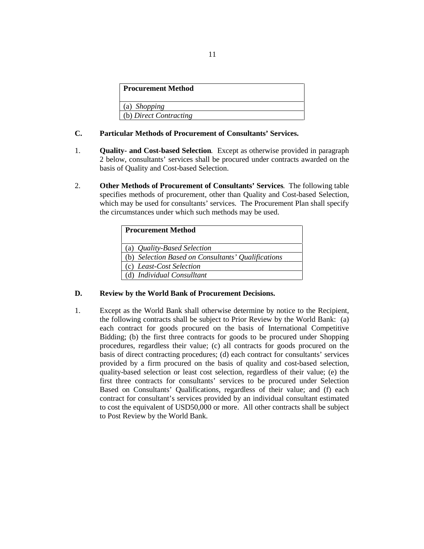| <b>Procurement Method</b> |  |
|---------------------------|--|
| (a) Shopping              |  |
| (b) Direct Contracting    |  |

# **C. Particular Methods of Procurement of Consultants' Services.**

- 1. **Quality- and Cost-based Selection**. Except as otherwise provided in paragraph 2 below, consultants' services shall be procured under contracts awarded on the basis of Quality and Cost-based Selection.
- 2. **Other Methods of Procurement of Consultants' Services**. The following table specifies methods of procurement, other than Quality and Cost-based Selection, which may be used for consultants' services. The Procurement Plan shall specify the circumstances under which such methods may be used.

| <b>Procurement Method</b>                          |
|----------------------------------------------------|
| (a) <i>Quality-Based Selection</i>                 |
| (b) Selection Based on Consultants' Qualifications |
| (c) Least-Cost Selection                           |
| (d) Individual Consulltant                         |

# **D. Review by the World Bank of Procurement Decisions.**

1. Except as the World Bank shall otherwise determine by notice to the Recipient, the following contracts shall be subject to Prior Review by the World Bank: (a) each contract for goods procured on the basis of International Competitive Bidding; (b) the first three contracts for goods to be procured under Shopping procedures, regardless their value; (c) all contracts for goods procured on the basis of direct contracting procedures; (d) each contract for consultants' services provided by a firm procured on the basis of quality and cost-based selection, quality-based selection or least cost selection, regardless of their value; (e) the first three contracts for consultants' services to be procured under Selection Based on Consultants' Qualifications, regardless of their value; and (f) each contract for consultant's services provided by an individual consultant estimated to cost the equivalent of USD50,000 or more. All other contracts shall be subject to Post Review by the World Bank.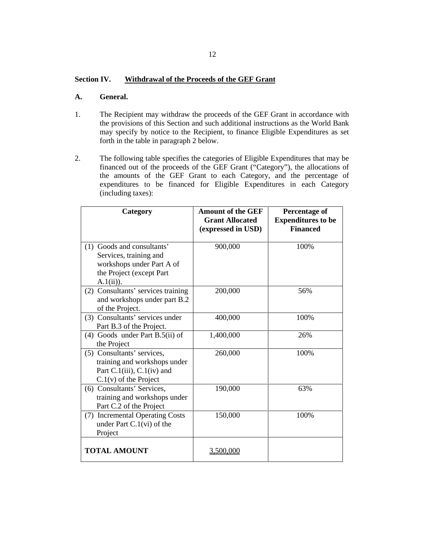# **Section IV. Withdrawal of the Proceeds of the GEF Grant**

#### **A. General.**

- 1. The Recipient may withdraw the proceeds of the GEF Grant in accordance with the provisions of this Section and such additional instructions as the World Bank may specify by notice to the Recipient, to finance Eligible Expenditures as set forth in the table in paragraph 2 below.
- 2. The following table specifies the categories of Eligible Expenditures that may be financed out of the proceeds of the GEF Grant ("Category"), the allocations of the amounts of the GEF Grant to each Category, and the percentage of expenditures to be financed for Eligible Expenditures in each Category (including taxes):

| Category                                                                                                                      | <b>Amount of the GEF</b><br><b>Grant Allocated</b><br>(expressed in USD) | <b>Percentage of</b><br><b>Expenditures to be</b><br><b>Financed</b> |
|-------------------------------------------------------------------------------------------------------------------------------|--------------------------------------------------------------------------|----------------------------------------------------------------------|
| (1) Goods and consultants'<br>Services, training and<br>workshops under Part A of<br>the Project (except Part<br>$A.1(ii)$ ). | 900,000                                                                  | 100%                                                                 |
| (2) Consultants' services training<br>and workshops under part B.2<br>of the Project.                                         | 200,000                                                                  | 56%                                                                  |
| (3) Consultants' services under<br>Part B.3 of the Project.                                                                   | 400,000                                                                  | 100%                                                                 |
| $(4)$ Goods under Part B.5(ii) of<br>the Project                                                                              | 1,400,000                                                                | 26%                                                                  |
| (5) Consultants' services,<br>training and workshops under<br>Part C.1(iii), $C.1(iv)$ and<br>$C.1(v)$ of the Project         | 260,000                                                                  | 100%                                                                 |
| (6) Consultants' Services,<br>training and workshops under<br>Part C.2 of the Project                                         | 190,000                                                                  | 63%                                                                  |
| (7) Incremental Operating Costs<br>under Part $C.1$ (vi) of the<br>Project                                                    | 150,000                                                                  | 100%                                                                 |
| <b>TOTAL AMOUNT</b>                                                                                                           | <u>3.500.000</u>                                                         |                                                                      |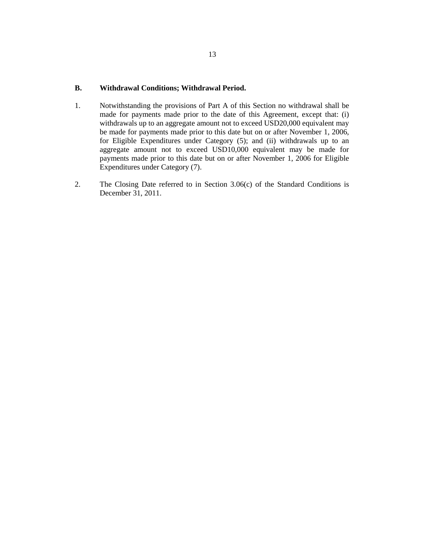# **B. Withdrawal Conditions; Withdrawal Period.**

- 1. Notwithstanding the provisions of Part A of this Section no withdrawal shall be made for payments made prior to the date of this Agreement, except that: (i) withdrawals up to an aggregate amount not to exceed USD20,000 equivalent may be made for payments made prior to this date but on or after November 1, 2006, for Eligible Expenditures under Category (5); and (ii) withdrawals up to an aggregate amount not to exceed USD10,000 equivalent may be made for payments made prior to this date but on or after November 1, 2006 for Eligible Expenditures under Category (7).
- 2. The Closing Date referred to in Section 3.06(c) of the Standard Conditions is December 31, 2011.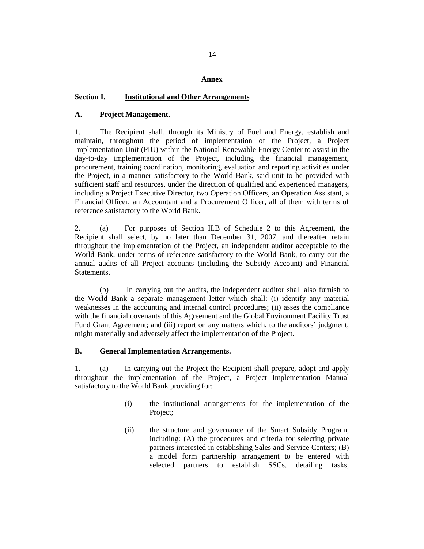#### **Annex**

#### **Section I. Institutional and Other Arrangements**

## **A. Project Management.**

1. The Recipient shall, through its Ministry of Fuel and Energy, establish and maintain, throughout the period of implementation of the Project, a Project Implementation Unit (PIU) within the National Renewable Energy Center to assist in the day-to-day implementation of the Project, including the financial management, procurement, training coordination, monitoring, evaluation and reporting activities under the Project, in a manner satisfactory to the World Bank, said unit to be provided with sufficient staff and resources, under the direction of qualified and experienced managers, including a Project Executive Director, two Operation Officers, an Operation Assistant, a Financial Officer, an Accountant and a Procurement Officer, all of them with terms of reference satisfactory to the World Bank.

2. (a) For purposes of Section II.B of Schedule 2 to this Agreement, the Recipient shall select, by no later than December 31, 2007, and thereafter retain throughout the implementation of the Project, an independent auditor acceptable to the World Bank, under terms of reference satisfactory to the World Bank, to carry out the annual audits of all Project accounts (including the Subsidy Account) and Financial Statements.

(b) In carrying out the audits, the independent auditor shall also furnish to the World Bank a separate management letter which shall: (i) identify any material weaknesses in the accounting and internal control procedures; (ii) asses the compliance with the financial covenants of this Agreement and the Global Environment Facility Trust Fund Grant Agreement; and (iii) report on any matters which, to the auditors' judgment, might materially and adversely affect the implementation of the Project.

## **B. General Implementation Arrangements.**

1. (a) In carrying out the Project the Recipient shall prepare, adopt and apply throughout the implementation of the Project, a Project Implementation Manual satisfactory to the World Bank providing for:

- (i) the institutional arrangements for the implementation of the Project;
- (ii) the structure and governance of the Smart Subsidy Program, including: (A) the procedures and criteria for selecting private partners interested in establishing Sales and Service Centers; (B) a model form partnership arrangement to be entered with selected partners to establish SSCs, detailing tasks,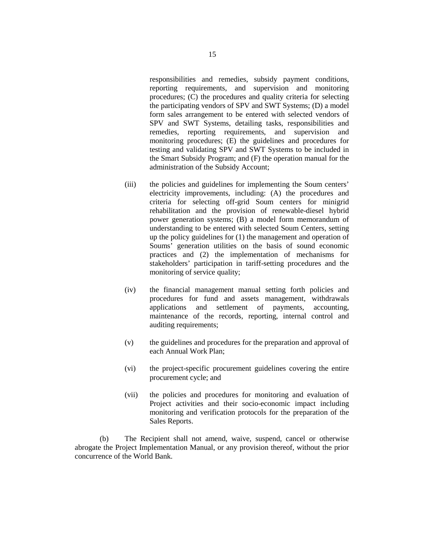responsibilities and remedies, subsidy payment conditions, reporting requirements, and supervision and monitoring procedures; (C) the procedures and quality criteria for selecting the participating vendors of SPV and SWT Systems; (D) a model form sales arrangement to be entered with selected vendors of SPV and SWT Systems, detailing tasks, responsibilities and remedies, reporting requirements, and supervision and monitoring procedures; (E) the guidelines and procedures for testing and validating SPV and SWT Systems to be included in the Smart Subsidy Program; and (F) the operation manual for the administration of the Subsidy Account;

- (iii) the policies and guidelines for implementing the Soum centers' electricity improvements, including: (A) the procedures and criteria for selecting off-grid Soum centers for minigrid rehabilitation and the provision of renewable-diesel hybrid power generation systems; (B) a model form memorandum of understanding to be entered with selected Soum Centers, setting up the policy guidelines for (1) the management and operation of Soums' generation utilities on the basis of sound economic practices and (2) the implementation of mechanisms for stakeholders' participation in tariff-setting procedures and the monitoring of service quality;
- (iv) the financial management manual setting forth policies and procedures for fund and assets management, withdrawals applications and settlement of payments, accounting, maintenance of the records, reporting, internal control and auditing requirements;
- (v) the guidelines and procedures for the preparation and approval of each Annual Work Plan;
- (vi) the project-specific procurement guidelines covering the entire procurement cycle; and
- (vii) the policies and procedures for monitoring and evaluation of Project activities and their socio-economic impact including monitoring and verification protocols for the preparation of the Sales Reports.

(b) The Recipient shall not amend, waive, suspend, cancel or otherwise abrogate the Project Implementation Manual, or any provision thereof, without the prior concurrence of the World Bank.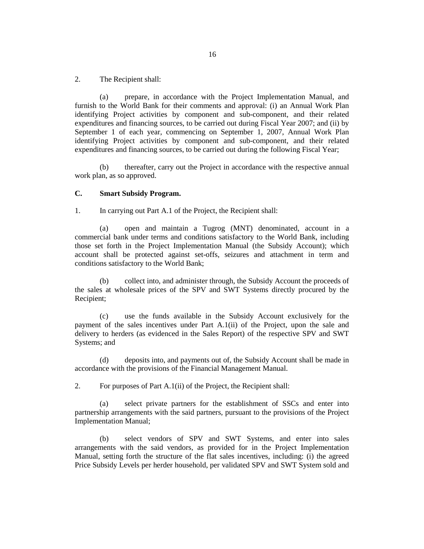2. The Recipient shall:

(a) prepare, in accordance with the Project Implementation Manual, and furnish to the World Bank for their comments and approval: (i) an Annual Work Plan identifying Project activities by component and sub-component, and their related expenditures and financing sources, to be carried out during Fiscal Year 2007; and (ii) by September 1 of each year, commencing on September 1, 2007, Annual Work Plan identifying Project activities by component and sub-component, and their related expenditures and financing sources, to be carried out during the following Fiscal Year;

(b) thereafter, carry out the Project in accordance with the respective annual work plan, as so approved.

#### **C. Smart Subsidy Program.**

1. In carrying out Part A.1 of the Project, the Recipient shall:

(a) open and maintain a Tugrog (MNT) denominated, account in a commercial bank under terms and conditions satisfactory to the World Bank, including those set forth in the Project Implementation Manual (the Subsidy Account); which account shall be protected against set-offs, seizures and attachment in term and conditions satisfactory to the World Bank;

(b) collect into, and administer through, the Subsidy Account the proceeds of the sales at wholesale prices of the SPV and SWT Systems directly procured by the Recipient;

(c) use the funds available in the Subsidy Account exclusively for the payment of the sales incentives under Part A.1(ii) of the Project, upon the sale and delivery to herders (as evidenced in the Sales Report) of the respective SPV and SWT Systems; and

(d) deposits into, and payments out of, the Subsidy Account shall be made in accordance with the provisions of the Financial Management Manual.

2. For purposes of Part A.1(ii) of the Project, the Recipient shall:

(a) select private partners for the establishment of SSCs and enter into partnership arrangements with the said partners, pursuant to the provisions of the Project Implementation Manual;

(b) select vendors of SPV and SWT Systems, and enter into sales arrangements with the said vendors, as provided for in the Project Implementation Manual, setting forth the structure of the flat sales incentives, including: (i) the agreed Price Subsidy Levels per herder household, per validated SPV and SWT System sold and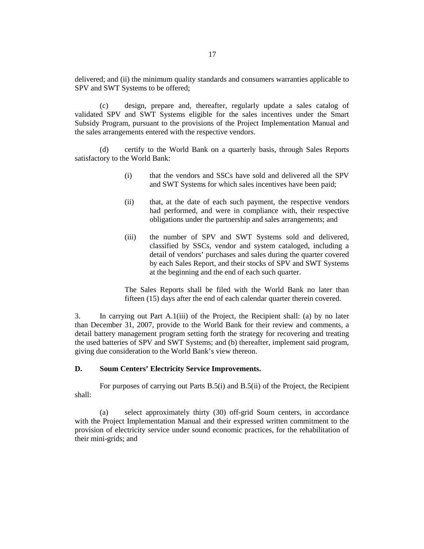delivered; and (ii) the minimum quality standards and consumers warranties applicable to SPV and SWT Systems to be offered;

(c) design, prepare and, thereafter, regularly update a sales catalog of validated SPV and SWT Systems eligible for the sales incentives under the Smart Subsidy Program, pursuant to the provisions of the Project Implementation Manual and the sales arrangements entered with the respective vendors.

(d) certify to the World Bank on a quarterly basis, through Sales Reports satisfactory to the World Bank:

- (i) that the vendors and SSCs have sold and delivered all the SPV and SWT Systems for which sales incentives have been paid;
- (ii) that, at the date of each such payment, the respective vendors had performed, and were in compliance with, their respective obligations under the partnership and sales arrangements; and
- (iii) the number of SPV and SWT Systems sold and delivered, classified by SSCs, vendor and system cataloged, including a detail of vendors' purchases and sales during the quarter covered by each Sales Report, and their stocks of SPV and SWT Systems at the beginning and the end of each such quarter.

The Sales Reports shall be filed with the World Bank no later than fifteen (15) days after the end of each calendar quarter therein covered.

3. In carrying out Part A.1(iii) of the Project, the Recipient shall: (a) by no later than December 31, 2007, provide to the World Bank for their review and comments, a detail battery management program setting forth the strategy for recovering and treating the used batteries of SPV and SWT Systems; and (b) thereafter, implement said program, giving due consideration to the World Bank's view thereon.

#### **D. Soum Centers' Electricity Service Improvements.**

For purposes of carrying out Parts B.5(i) and B.5(ii) of the Project, the Recipient shall:

(a) select approximately thirty (30) off-grid Soum centers, in accordance with the Project Implementation Manual and their expressed written commitment to the provision of electricity service under sound economic practices, for the rehabilitation of their mini-grids; and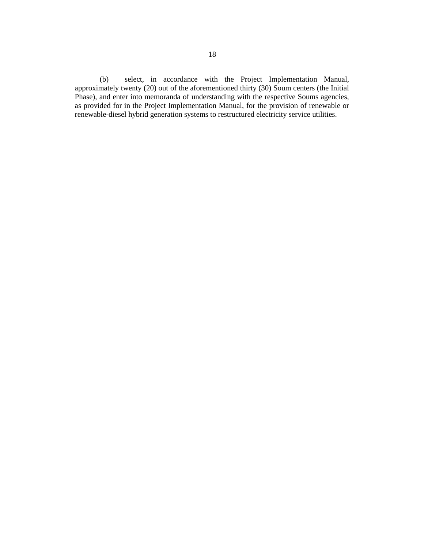(b) select, in accordance with the Project Implementation Manual, approximately twenty (20) out of the aforementioned thirty (30) Soum centers (the Initial Phase), and enter into memoranda of understanding with the respective Soums agencies, as provided for in the Project Implementation Manual, for the provision of renewable or renewable-diesel hybrid generation systems to restructured electricity service utilities.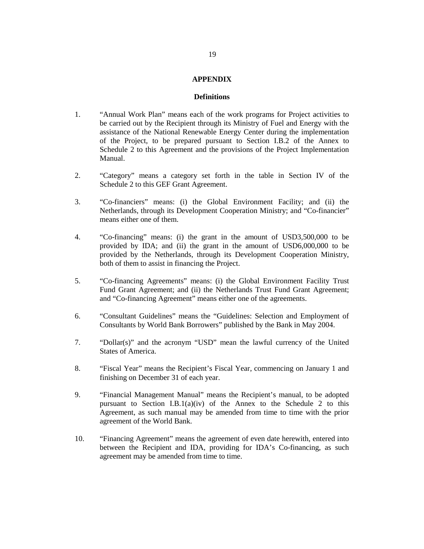## **APPENDIX**

#### **Definitions**

- 1. "Annual Work Plan" means each of the work programs for Project activities to be carried out by the Recipient through its Ministry of Fuel and Energy with the assistance of the National Renewable Energy Center during the implementation of the Project, to be prepared pursuant to Section I.B.2 of the Annex to Schedule 2 to this Agreement and the provisions of the Project Implementation Manual.
- 2. "Category" means a category set forth in the table in Section IV of the Schedule 2 to this GEF Grant Agreement.
- 3. "Co-financiers" means: (i) the Global Environment Facility; and (ii) the Netherlands, through its Development Cooperation Ministry; and "Co-financier" means either one of them.
- 4. "Co-financing" means: (i) the grant in the amount of USD3,500,000 to be provided by IDA; and (ii) the grant in the amount of USD6,000,000 to be provided by the Netherlands, through its Development Cooperation Ministry, both of them to assist in financing the Project.
- 5. "Co-financing Agreements" means: (i) the Global Environment Facility Trust Fund Grant Agreement; and (ii) the Netherlands Trust Fund Grant Agreement; and "Co-financing Agreement" means either one of the agreements.
- 6. "Consultant Guidelines" means the "Guidelines: Selection and Employment of Consultants by World Bank Borrowers" published by the Bank in May 2004.
- 7. "Dollar(s)" and the acronym "USD" mean the lawful currency of the United States of America.
- 8. "Fiscal Year" means the Recipient's Fiscal Year, commencing on January 1 and finishing on December 31 of each year.
- 9. "Financial Management Manual" means the Recipient's manual, to be adopted pursuant to Section I.B.1(a)(iv) of the Annex to the Schedule 2 to this Agreement, as such manual may be amended from time to time with the prior agreement of the World Bank.
- 10. "Financing Agreement" means the agreement of even date herewith, entered into between the Recipient and IDA, providing for IDA's Co-financing, as such agreement may be amended from time to time.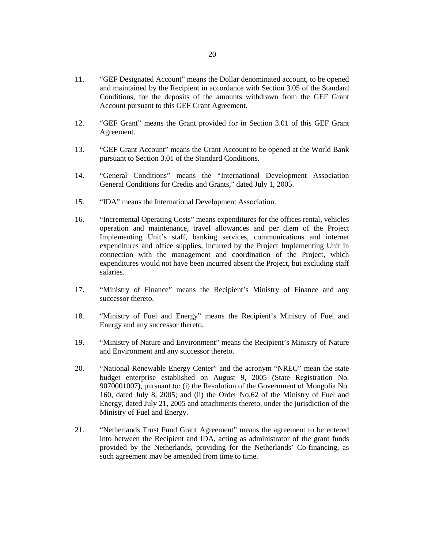- 11. "GEF Designated Account" means the Dollar denominated account, to be opened and maintained by the Recipient in accordance with Section 3.05 of the Standard Conditions, for the deposits of the amounts withdrawn from the GEF Grant Account pursuant to this GEF Grant Agreement.
- 12. "GEF Grant" means the Grant provided for in Section 3.01 of this GEF Grant Agreement.
- 13. "GEF Grant Account" means the Grant Account to be opened at the World Bank pursuant to Section 3.01 of the Standard Conditions.
- 14. "General Conditions" means the "International Development Association General Conditions for Credits and Grants," dated July 1, 2005.
- 15. "IDA" means the International Development Association.
- 16. "Incremental Operating Costs" means expenditures for the offices rental, vehicles operation and maintenance, travel allowances and per diem of the Project Implementing Unit's staff, banking services, communications and internet expenditures and office supplies, incurred by the Project Implementing Unit in connection with the management and coordination of the Project, which expenditures would not have been incurred absent the Project, but excluding staff salaries.
- 17. "Ministry of Finance" means the Recipient's Ministry of Finance and any successor thereto.
- 18. "Ministry of Fuel and Energy" means the Recipient's Ministry of Fuel and Energy and any successor thereto.
- 19. "Ministry of Nature and Environment" means the Recipient's Ministry of Nature and Environment and any successor thereto.
- 20. "National Renewable Energy Center" and the acronym "NREC" mean the state budget enterprise established on August 9, 2005 (State Registration No. 9070001007), pursuant to: (i) the Resolution of the Government of Mongolia No. 160, dated July 8, 2005; and (ii) the Order No.62 of the Ministry of Fuel and Energy, dated July 21, 2005 and attachments thereto, under the jurisdiction of the Ministry of Fuel and Energy.
- 21. "Netherlands Trust Fund Grant Agreement" means the agreement to be entered into between the Recipient and IDA, acting as administrator of the grant funds provided by the Netherlands, providing for the Netherlands' Co-financing, as such agreement may be amended from time to time.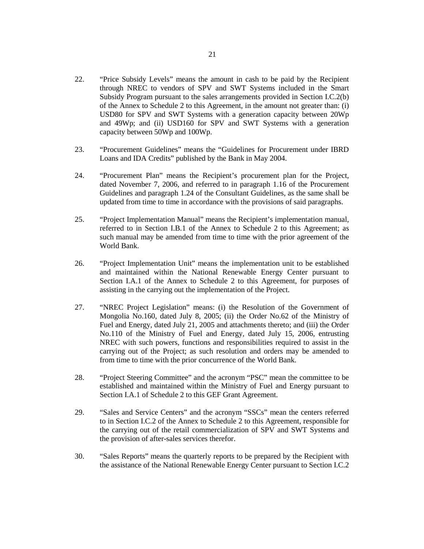- 22. "Price Subsidy Levels" means the amount in cash to be paid by the Recipient through NREC to vendors of SPV and SWT Systems included in the Smart Subsidy Program pursuant to the sales arrangements provided in Section I.C.2(b) of the Annex to Schedule 2 to this Agreement, in the amount not greater than: (i) USD80 for SPV and SWT Systems with a generation capacity between 20Wp and 49Wp; and (ii) USD160 for SPV and SWT Systems with a generation capacity between 50Wp and 100Wp.
- 23. "Procurement Guidelines" means the "Guidelines for Procurement under IBRD Loans and IDA Credits" published by the Bank in May 2004.
- 24. "Procurement Plan" means the Recipient's procurement plan for the Project, dated November 7, 2006, and referred to in paragraph 1.16 of the Procurement Guidelines and paragraph 1.24 of the Consultant Guidelines, as the same shall be updated from time to time in accordance with the provisions of said paragraphs.
- 25. "Project Implementation Manual" means the Recipient's implementation manual, referred to in Section I.B.1 of the Annex to Schedule 2 to this Agreement; as such manual may be amended from time to time with the prior agreement of the World Bank.
- 26. "Project Implementation Unit" means the implementation unit to be established and maintained within the National Renewable Energy Center pursuant to Section I.A.1 of the Annex to Schedule 2 to this Agreement, for purposes of assisting in the carrying out the implementation of the Project.
- 27. "NREC Project Legislation" means: (i) the Resolution of the Government of Mongolia No.160, dated July 8, 2005; (ii) the Order No.62 of the Ministry of Fuel and Energy, dated July 21, 2005 and attachments thereto; and (iii) the Order No.110 of the Ministry of Fuel and Energy, dated July 15, 2006, entrusting NREC with such powers, functions and responsibilities required to assist in the carrying out of the Project; as such resolution and orders may be amended to from time to time with the prior concurrence of the World Bank.
- 28. "Project Steering Committee" and the acronym "PSC" mean the committee to be established and maintained within the Ministry of Fuel and Energy pursuant to Section I.A.1 of Schedule 2 to this GEF Grant Agreement.
- 29. "Sales and Service Centers" and the acronym "SSCs" mean the centers referred to in Section I.C.2 of the Annex to Schedule 2 to this Agreement, responsible for the carrying out of the retail commercialization of SPV and SWT Systems and the provision of after-sales services therefor.
- 30. "Sales Reports" means the quarterly reports to be prepared by the Recipient with the assistance of the National Renewable Energy Center pursuant to Section I.C.2